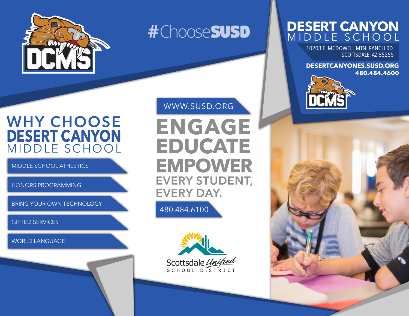

# **#**Choose *SUSD*

# WHY CHOOSE **DESERT CANYON** MIDDLE SCHOOL

MIDDLE SCHOOL ATHLETICS

HONORS PROGRAMMING

BRING YOUR OWN TECHNOLOGY

GIFTED SERVICES

WORLD LANGUAGE

#### WWW.SUSD.ORG

**ENGAGE** EDUCATE **EMPOWER EVERY STUDENT, EVERY DAY.** 

480.484.6100



## **DESERT CANYON** MIDDLE SCHOOL

10203 E. MCDOWELL MTN. RANCH RD. SCOTTSDALE, AZ 85255

**DESERTCANYONES.SUSD.ORG 480.484.4600**